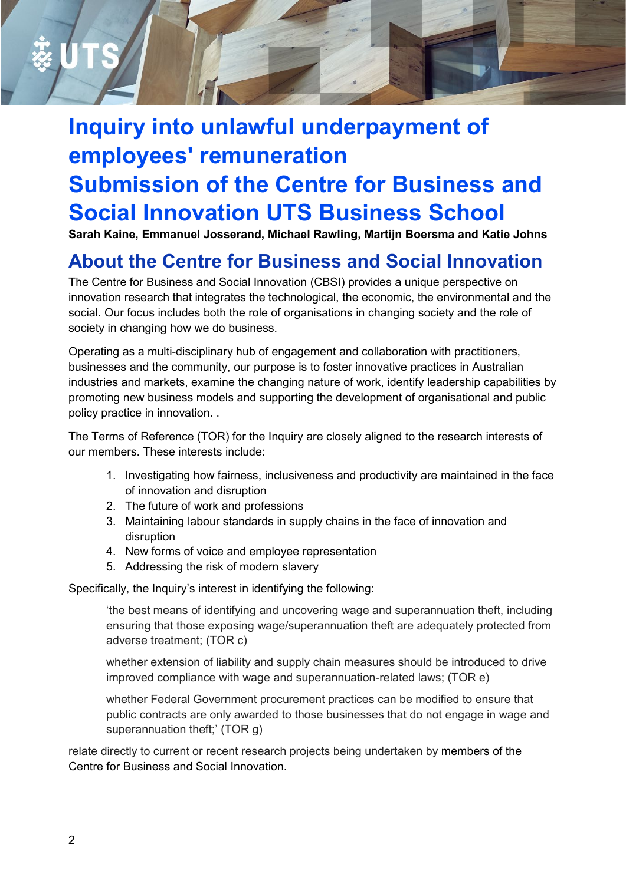# **Inquiry into unlawful underpayment of employees' remuneration Submission of the Centre for Business and Social Innovation UTS Business School**

**Sarah Kaine, Emmanuel Josserand, Michael Rawling, Martijn Boersma and Katie Johns**

## **About the Centre for Business and Social Innovation**

The Centre for Business and Social Innovation (CBSI) provides a unique perspective on innovation research that integrates the technological, the economic, the environmental and the social. Our focus includes both the role of organisations in changing society and the role of society in changing how we do business.

Operating as a multi-disciplinary hub of engagement and collaboration with practitioners, businesses and the community, our purpose is to foster innovative practices in Australian industries and markets, examine the changing nature of work, identify leadership capabilities by promoting new business models and supporting the development of organisational and public policy practice in innovation. .

The Terms of Reference (TOR) for the Inquiry are closely aligned to the research interests of our members. These interests include:

- 1. Investigating how fairness, inclusiveness and productivity are maintained in the face of innovation and disruption
- 2. The future of work and professions
- 3. Maintaining labour standards in supply chains in the face of innovation and disruption
- 4. New forms of voice and employee representation
- 5. Addressing the risk of modern slavery

Specifically, the Inquiry's interest in identifying the following:

'the best means of identifying and uncovering wage and superannuation theft, including ensuring that those exposing wage/superannuation theft are adequately protected from adverse treatment; (TOR c)

whether extension of liability and supply chain measures should be introduced to drive improved compliance with wage and superannuation-related laws; (TOR e)

whether Federal Government procurement practices can be modified to ensure that public contracts are only awarded to those businesses that do not engage in wage and superannuation theft;' (TOR g)

relate directly to current or recent research projects being undertaken by members of the Centre for Business and Social Innovation.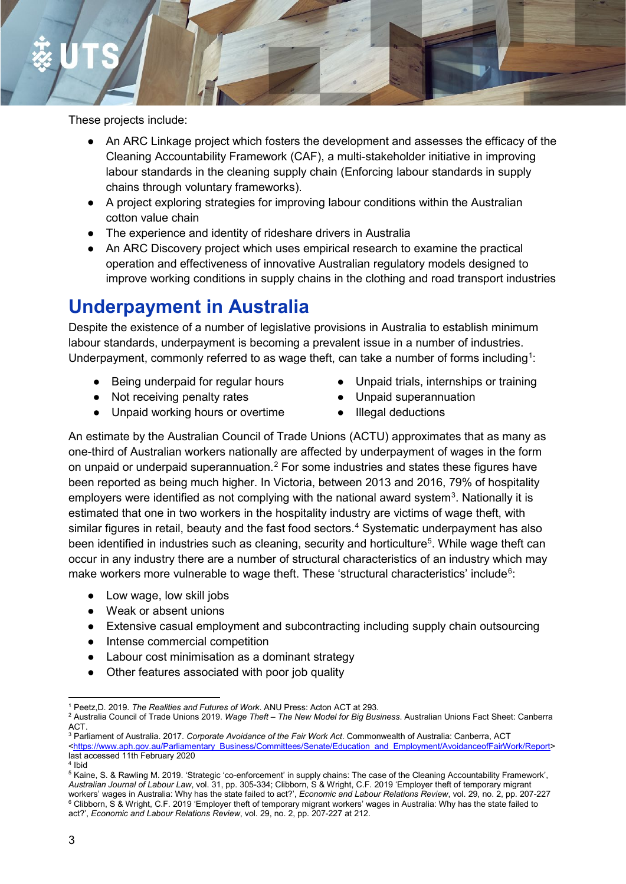These projects include:

- An ARC Linkage project which fosters the development and assesses the efficacy of the Cleaning Accountability Framework (CAF), a multi-stakeholder initiative in improving labour standards in the cleaning supply chain (Enforcing labour standards in supply chains through voluntary frameworks).
- A project exploring strategies for improving labour conditions within the Australian cotton value chain
- The experience and identity of rideshare drivers in Australia
- An ARC Discovery project which uses empirical research to examine the practical operation and effectiveness of innovative Australian regulatory models designed to improve working conditions in supply chains in the clothing and road transport industries

## **Underpayment in Australia**

Despite the existence of a number of legislative provisions in Australia to establish minimum labour standards, underpayment is becoming a prevalent issue in a number of industries. Underpayment, commonly referred to as wage theft, can take a number of forms including<sup>[1](#page-1-0)</sup>:

- Being underpaid for regular hours
- Not receiving penalty rates
- Unpaid working hours or overtime
- Unpaid trials, internships or training
- Unpaid superannuation
- Illegal deductions

An estimate by the Australian Council of Trade Unions (ACTU) approximates that as many as one-third of Australian workers nationally are affected by underpayment of wages in the form on unpaid or underpaid superannuation.<sup>[2](#page-1-1)</sup> For some industries and states these figures have been reported as being much higher. In Victoria, between 2013 and 2016, 79% of hospitality employers were identified as not complying with the national award system<sup>[3](#page-1-2)</sup>. Nationally it is estimated that one in two workers in the hospitality industry are victims of wage theft, with similar figures in retail, beauty and the fast food sectors.<sup>[4](#page-1-3)</sup> Systematic underpayment has also been identified in industries such as cleaning, security and horticulture<sup>[5](#page-1-4)</sup>. While wage theft can occur in any industry there are a number of structural characteristics of an industry which may make workers more vulnerable to wage theft. These 'structural characteristics' include $^6$  $^6$ :

- Low wage, low skill jobs
- Weak or absent unions
- Extensive casual employment and subcontracting including supply chain outsourcing
- Intense commercial competition
- Labour cost minimisation as a dominant strategy
- Other features associated with poor job quality

<sup>4</sup> Ibid

 <sup>1</sup> Peetz,D. 2019. *The Realities and Futures of Work*. ANU Press: Acton ACT at 293.

<span id="page-1-1"></span><span id="page-1-0"></span><sup>2</sup> Australia Council of Trade Unions 2019. *Wage Theft – The New Model for Big Business*. Australian Unions Fact Sheet: Canberra ACT.

<span id="page-1-2"></span><sup>3</sup> Parliament of Australia. 2017. *Corporate Avoidance of the Fair Work Act*. Commonwealth of Australia: Canberra, ACT [<https://www.aph.gov.au/Parliamentary\\_Business/Committees/Senate/Education\\_and\\_Employment/AvoidanceofFairWork/Report>](https://www.aph.gov.au/Parliamentary_Business/Committees/Senate/Education_and_Employment/AvoidanceofFairWork/Report) last accessed 11th February 2020

<span id="page-1-5"></span><span id="page-1-4"></span><span id="page-1-3"></span><sup>5</sup> Kaine, S. & Rawling M. 2019. 'Strategic 'co-enforcement' in supply chains: The case of the Cleaning Accountability Framework', *Australian Journal of Labour Law*, vol. 31, pp. 305-334; Clibborn, S & Wright, C.F. 2019 'Employer theft of temporary migrant workers' wages in Australia: Why has the state failed to act?', *Economic and Labour Relations Review*, vol. 29, no. 2, pp. 207-227  $6$  Clibborn, S & Wright, C.F. 2019 'Employer theft of temporary migrant workers' wages in Australia: Why has the state failed to act?', *Economic and Labour Relations Review*, vol. 29, no. 2, pp. 207-227 at 212.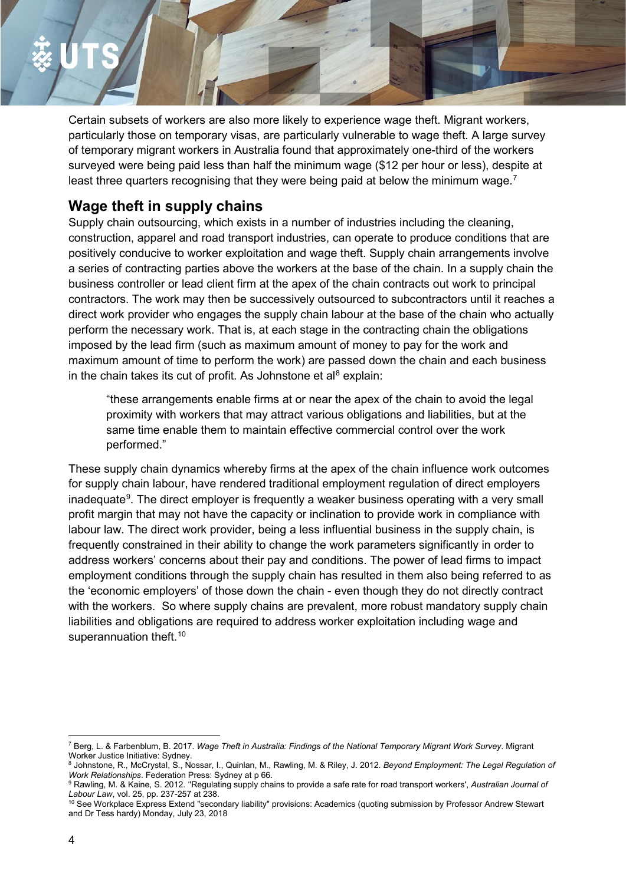Certain subsets of workers are also more likely to experience wage theft. Migrant workers, particularly those on temporary visas, are particularly vulnerable to wage theft. A large survey of temporary migrant workers in Australia found that approximately one-third of the workers surveyed were being paid less than half the minimum wage (\$12 per hour or less), despite at least three quarters recognising that they were being paid at below the minimum wage.<sup>[7](#page-2-0)</sup>

### **Wage theft in supply chains**

Supply chain outsourcing, which exists in a number of industries including the cleaning, construction, apparel and road transport industries, can operate to produce conditions that are positively conducive to worker exploitation and wage theft. Supply chain arrangements involve a series of contracting parties above the workers at the base of the chain. In a supply chain the business controller or lead client firm at the apex of the chain contracts out work to principal contractors. The work may then be successively outsourced to subcontractors until it reaches a direct work provider who engages the supply chain labour at the base of the chain who actually perform the necessary work. That is, at each stage in the contracting chain the obligations imposed by the lead firm (such as maximum amount of money to pay for the work and maximum amount of time to perform the work) are passed down the chain and each business in the chain takes its cut of profit. As Johnstone et al<sup>8</sup> explain:

"these arrangements enable firms at or near the apex of the chain to avoid the legal proximity with workers that may attract various obligations and liabilities, but at the same time enable them to maintain effective commercial control over the work performed."

These supply chain dynamics whereby firms at the apex of the chain influence work outcomes for supply chain labour, have rendered traditional employment regulation of direct employers inadequate<sup>[9](#page-2-2)</sup>. The direct employer is frequently a weaker business operating with a very small profit margin that may not have the capacity or inclination to provide work in compliance with labour law. The direct work provider, being a less influential business in the supply chain, is frequently constrained in their ability to change the work parameters significantly in order to address workers' concerns about their pay and conditions. The power of lead firms to impact employment conditions through the supply chain has resulted in them also being referred to as the 'economic employers' of those down the chain - even though they do not directly contract with the workers. So where supply chains are prevalent, more robust mandatory supply chain liabilities and obligations are required to address worker exploitation including wage and superannuation theft.<sup>[10](#page-2-3)</sup>

<span id="page-2-0"></span> <sup>7</sup> Berg, L. & Farbenblum, B. 2017. *Wage Theft in Australia: Findings of the National Temporary Migrant Work Survey*. Migrant Worker Justice Initiative: Sydney.

<span id="page-2-1"></span><sup>8</sup> Johnstone, R., McCrystal, S., Nossar, I., Quinlan, M., Rawling, M. & Riley, J. 2012. *Beyond Employment: The Legal Regulation of Work Relationships*. Federation Press: Sydney at p 66.

<span id="page-2-2"></span><sup>9</sup> Rawling, M. & Kaine, S. 2012. ''Regulating supply chains to provide a safe rate for road transport workers', *Australian Journal of Labour Law*, vol. 25, pp. 237-257 at 238.

<span id="page-2-3"></span> $^{10}$  See Workplace Express Extend "secondary liability" provisions: Academics (quoting submission by Professor Andrew Stewart and Dr Tess hardy) Monday, July 23, 2018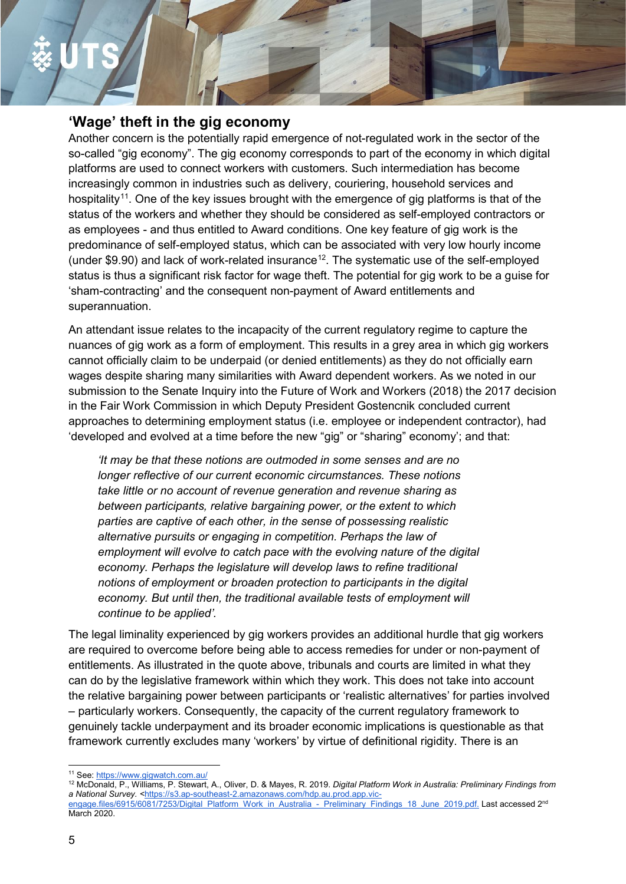### **'Wage' theft in the gig economy**

Another concern is the potentially rapid emergence of not-regulated work in the sector of the so-called "gig economy". The gig economy corresponds to part of the economy in which digital platforms are used to connect workers with customers. Such intermediation has become increasingly common in industries such as delivery, couriering, household services and hospitality<sup>[11](#page-3-0)</sup>. One of the key issues brought with the emergence of gig platforms is that of the status of the workers and whether they should be considered as self-employed contractors or as employees - and thus entitled to Award conditions. One key feature of gig work is the predominance of self-employed status, which can be associated with very low hourly income (under  $$9.90$ ) and lack of work-related insurance<sup>12</sup>. The systematic use of the self-employed status is thus a significant risk factor for wage theft. The potential for gig work to be a guise for 'sham-contracting' and the consequent non-payment of Award entitlements and superannuation.

An attendant issue relates to the incapacity of the current regulatory regime to capture the nuances of gig work as a form of employment. This results in a grey area in which gig workers cannot officially claim to be underpaid (or denied entitlements) as they do not officially earn wages despite sharing many similarities with Award dependent workers. As we noted in our submission to the Senate Inquiry into the Future of Work and Workers (2018) the 2017 decision in the Fair Work Commission in which Deputy President Gostencnik concluded current approaches to determining employment status (i.e. employee or independent contractor), had 'developed and evolved at a time before the new "gig" or "sharing" economy'; and that:

*'It may be that these notions are outmoded in some senses and are no longer reflective of our current economic circumstances. These notions take little or no account of revenue generation and revenue sharing as between participants, relative bargaining power, or the extent to which parties are captive of each other, in the sense of possessing realistic alternative pursuits or engaging in competition. Perhaps the law of employment will evolve to catch pace with the evolving nature of the digital economy. Perhaps the legislature will develop laws to refine traditional notions of employment or broaden protection to participants in the digital economy. But until then, the traditional available tests of employment will continue to be applied'.*

The legal liminality experienced by gig workers provides an additional hurdle that gig workers are required to overcome before being able to access remedies for under or non-payment of entitlements. As illustrated in the quote above, tribunals and courts are limited in what they can do by the legislative framework within which they work. This does not take into account the relative bargaining power between participants or 'realistic alternatives' for parties involved – particularly workers. Consequently, the capacity of the current regulatory framework to genuinely tackle underpayment and its broader economic implications is questionable as that framework currently excludes many 'workers' by virtue of definitional rigidity. There is an

<span id="page-3-0"></span> <sup>11</sup> See[: https://www.gigwatch.com.au/](https://www.gigwatch.com.au/)

<span id="page-3-1"></span><sup>12</sup> McDonald, P., Williams, P. Stewart, A., Oliver, D. & Mayes, R. 2019. *Digital Platform Work in Australia: Preliminary Findings from a National Survey. <*[https://s3.ap-southeast-2.amazonaws.com/hdp.au.prod.app.vic](https://s3.ap-southeast-2.amazonaws.com/hdp.au.prod.app.vic-engage.files/6915/6081/7253/Digital_Platform_Work_in_Australia_-_Preliminary_Findings_18_June_2019.pdf)engage.files/6915/6081/7253/Digital Platform Work in Australia - Preliminary Findings 18 June 2019.pdf. Last accessed 2<sup>nd</sup> March 2020.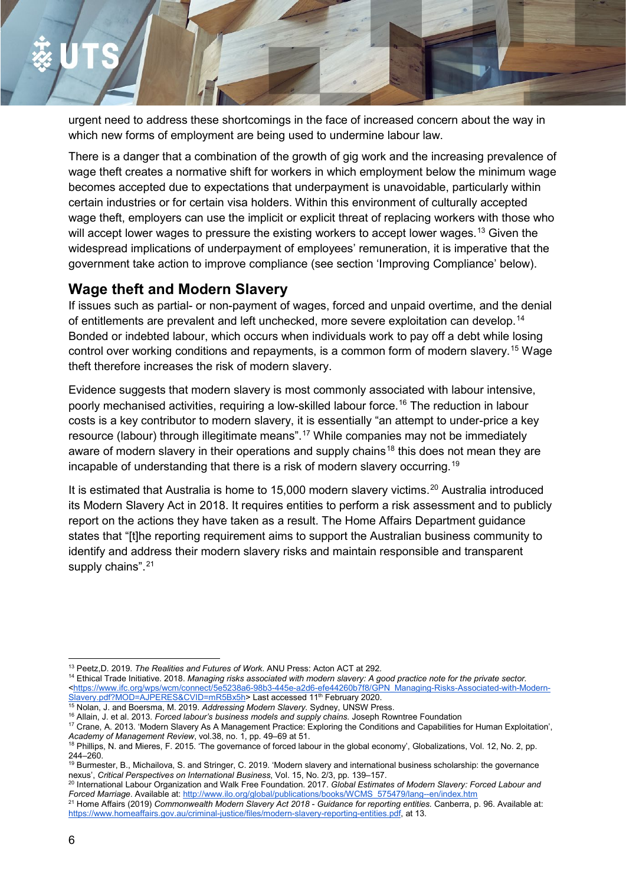urgent need to address these shortcomings in the face of increased concern about the way in which new forms of employment are being used to undermine labour law.

There is a danger that a combination of the growth of gig work and the increasing prevalence of wage theft creates a normative shift for workers in which employment below the minimum wage becomes accepted due to expectations that underpayment is unavoidable, particularly within certain industries or for certain visa holders. Within this environment of culturally accepted wage theft, employers can use the implicit or explicit threat of replacing workers with those who will accept lower wages to pressure the existing workers to accept lower wages.<sup>[13](#page-4-0)</sup> Given the widespread implications of underpayment of employees' remuneration, it is imperative that the government take action to improve compliance (see section 'Improving Compliance' below).

### **Wage theft and Modern Slavery**

If issues such as partial- or non-payment of wages, forced and unpaid overtime, and the denial of entitlements are prevalent and left unchecked, more severe exploitation can develop.<sup>[14](#page-4-1)</sup> Bonded or indebted labour, which occurs when individuals work to pay off a debt while losing control over working conditions and repayments, is a common form of modern slavery.<sup>[15](#page-4-2)</sup> Wage theft therefore increases the risk of modern slavery.

Evidence suggests that modern slavery is most commonly associated with labour intensive, poorly mechanised activities, requiring a low-skilled labour force.<sup>[16](#page-4-3)</sup> The reduction in labour costs is a key contributor to modern slavery, it is essentially "an attempt to under-price a key resource (labour) through illegitimate means".[17](#page-4-4) While companies may not be immediately aware of modern slavery in their operations and supply chains<sup>[18](#page-4-5)</sup> this does not mean they are incapable of understanding that there is a risk of modern slavery occurring.<sup>[19](#page-4-6)</sup>

It is estimated that Australia is home to 15,000 modern slavery victims.<sup>[20](#page-4-7)</sup> Australia introduced its Modern Slavery Act in 2018. It requires entities to perform a risk assessment and to publicly report on the actions they have taken as a result. The Home Affairs Department guidance states that "[t]he reporting requirement aims to support the Australian business community to identify and address their modern slavery risks and maintain responsible and transparent supply chains".<sup>[21](#page-4-8)</sup>

<span id="page-4-0"></span> <sup>13</sup> Peetz,D. 2019. *The Realities and Futures of Work*. ANU Press: Acton ACT at 292.

<span id="page-4-1"></span><sup>&</sup>lt;sup>14</sup> Ethical Trade Initiative. 2018. Managing risks associated with modern slavery: A good practice note for the private sector. [<https://www.ifc.org/wps/wcm/connect/5e5238a6-98b3-445e-a2d6-efe44260b7f8/GPN\\_Managing-Risks-Associated-with-Modern-](https://www.ifc.org/wps/wcm/connect/5e5238a6-98b3-445e-a2d6-efe44260b7f8/GPN_Managing-Risks-Associated-with-Modern-Slavery.pdf?MOD=AJPERES&CVID=mR5Bx5h)[Slavery.pdf?MOD=AJPERES&CVID=mR5Bx5h>](https://www.ifc.org/wps/wcm/connect/5e5238a6-98b3-445e-a2d6-efe44260b7f8/GPN_Managing-Risks-Associated-with-Modern-Slavery.pdf?MOD=AJPERES&CVID=mR5Bx5h) Last accessed 11<sup>th</sup> February 2020.

<span id="page-4-2"></span><sup>15</sup> Nolan, J. and Boersma, M. 2019. *Addressing Modern Slavery.* Sydney, UNSW Press.

<span id="page-4-4"></span><span id="page-4-3"></span><sup>16</sup> Allain, J. et al. 2013. *Forced labour's business models and supply chains.* Joseph Rowntree Foundation <sup>17</sup> Crane, A. 2013. 'Modern Slavery As A Management Practice: Exploring the Conditions and Capabilities for Human Exploitation', *Academy of Management Review*, vol.38, no. 1, pp. 49–69 at 51.

<span id="page-4-5"></span><sup>18</sup> Phillips, N. and Mieres, F. 2015. 'The governance of forced labour in the global economy', Globalizations, Vol. 12, No. 2, pp. 244–260.

<span id="page-4-6"></span><sup>19</sup> Burmester, B., Michailova, S. and Stringer, C. 2019. 'Modern slavery and international business scholarship: the governance nexus', *Critical Perspectives on International Business*, Vol. 15, No. 2/3, pp. 139–157.

<span id="page-4-7"></span><sup>20</sup> International Labour Organization and Walk Free Foundation. 2017. *Global Estimates of Modern Slavery: Forced Labour and Forced Marriage*. Available at: [http://www.ilo.org/global/publications/books/WCMS\\_575479/lang--en/index.htm](http://www.ilo.org/global/publications/books/WCMS_575479/lang--en/index.htm)

<span id="page-4-8"></span><sup>21</sup> Home Affairs (2019) *Commonwealth Modern Slavery Act 2018 - Guidance for reporting entities.* Canberra, p. 96. Available at: [https://www.homeaffairs.gov.au/criminal-justice/files/modern-slavery-reporting-entities.pdf,](https://www.homeaffairs.gov.au/criminal-justice/files/modern-slavery-reporting-entities.pdf) at 13.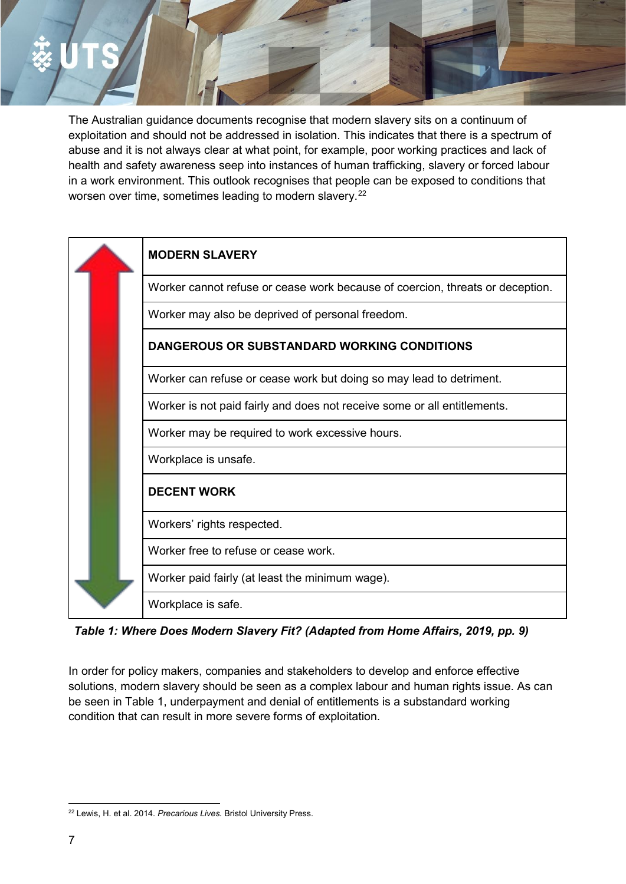The Australian guidance documents recognise that modern slavery sits on a continuum of exploitation and should not be addressed in isolation. This indicates that there is a spectrum of abuse and it is not always clear at what point, for example, poor working practices and lack of health and safety awareness seep into instances of human trafficking, slavery or forced labour in a work environment. This outlook recognises that people can be exposed to conditions that worsen over time, sometimes leading to modern slavery.<sup>[22](#page-5-0)</sup>



*Table 1: Where Does Modern Slavery Fit? (Adapted from Home Affairs, 2019, pp. 9)*

In order for policy makers, companies and stakeholders to develop and enforce effective solutions, modern slavery should be seen as a complex labour and human rights issue. As can be seen in Table 1, underpayment and denial of entitlements is a substandard working condition that can result in more severe forms of exploitation.

<span id="page-5-0"></span> <sup>22</sup> Lewis, H. et al. 2014. *Precarious Lives.* Bristol University Press.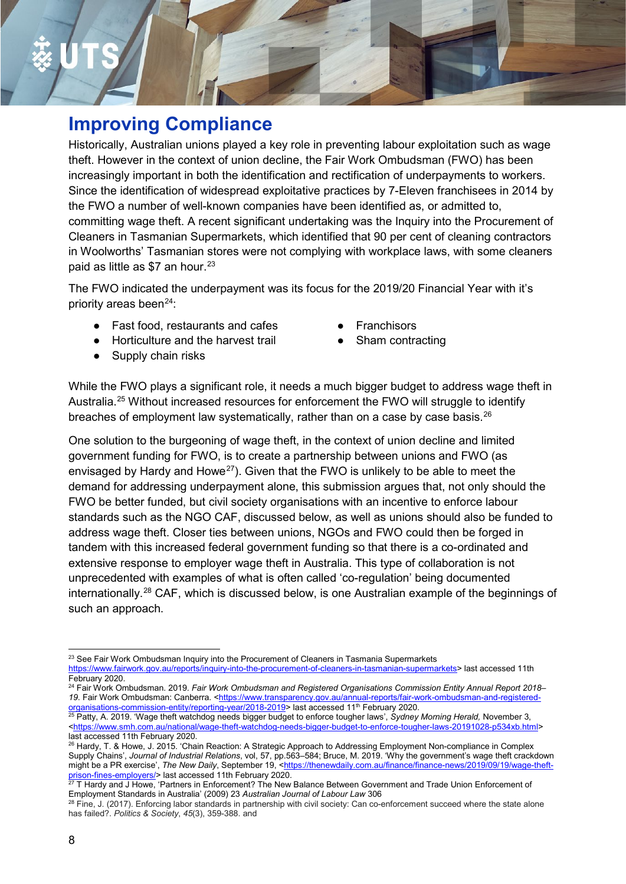## **Improving Compliance**

Historically, Australian unions played a key role in preventing labour exploitation such as wage theft. However in the context of union decline, the Fair Work Ombudsman (FWO) has been increasingly important in both the identification and rectification of underpayments to workers. Since the identification of widespread exploitative practices by 7-Eleven franchisees in 2014 by the FWO a number of well-known companies have been identified as, or admitted to, committing wage theft. A recent significant undertaking was the Inquiry into the Procurement of Cleaners in Tasmanian Supermarkets, which identified that 90 per cent of cleaning contractors in Woolworths' Tasmanian stores were not complying with workplace laws, with some cleaners paid as little as  $$7$  an hour.<sup>[23](#page-6-0)</sup>

The FWO indicated the underpayment was its focus for the 2019/20 Financial Year with it's priority areas been $24$ :

- Fast food, restaurants and cafes
- Horticulture and the harvest trail
- Supply chain risks
- Franchisors
- Sham contracting

While the FWO plays a significant role, it needs a much bigger budget to address wage theft in Australia[.25](#page-6-2) Without increased resources for enforcement the FWO will struggle to identify breaches of employment law systematically, rather than on a case by case basis.<sup>26</sup>

One solution to the burgeoning of wage theft, in the context of union decline and limited government funding for FWO, is to create a partnership between unions and FWO (as envisaged by Hardy and Howe<sup>[27](#page-6-4)</sup>). Given that the FWO is unlikely to be able to meet the demand for addressing underpayment alone, this submission argues that, not only should the FWO be better funded, but civil society organisations with an incentive to enforce labour standards such as the NGO CAF, discussed below, as well as unions should also be funded to address wage theft. Closer ties between unions, NGOs and FWO could then be forged in tandem with this increased federal government funding so that there is a co-ordinated and extensive response to employer wage theft in Australia. This type of collaboration is not unprecedented with examples of what is often called 'co-regulation' being documented internationally.[28](#page-6-5) CAF, which is discussed below, is one Australian example of the beginnings of such an approach.

<span id="page-6-0"></span><sup>&</sup>lt;sup>23</sup> See Fair Work Ombudsman Inquiry into the Procurement of Cleaners in Tasmania Supermarkets [https://www.fairwork.gov.au/reports/inquiry-into-the-procurement-of-cleaners-in-tasmanian-supermarkets>](https://www.fairwork.gov.au/reports/inquiry-into-the-procurement-of-cleaners-in-tasmanian-supermarkets) last accessed 11th February 2020.

<span id="page-6-1"></span><sup>24</sup> Fair Work Ombudsman. 2019. *Fair Work Ombudsman and Registered Organisations Commission Entity Annual Report 2018–* 19. Fair Work Ombudsman: Canberra. <https://www.transparency.gov.au/annual-reports/fair-work-ombudsman-and-registered-<br>organisations-commission-entity/reporting-year/2018-2019> last accessed 11<sup>th</sup> February 2020.

<span id="page-6-2"></span><sup>&</sup>lt;sup>25</sup> Patty, A. 2019. 'Wage theft watchdog needs bigger budget to enforce tougher laws', *Sydney Morning Herald,* November 3, [<https://www.smh.com.au/national/wage-theft-watchdog-needs-bigger-budget-to-enforce-tougher-laws-20191028-p534xb.html>](https://www.smh.com.au/national/wage-theft-watchdog-needs-bigger-budget-to-enforce-tougher-laws-20191028-p534xb.html) last accessed 11th February 2020.

<span id="page-6-3"></span><sup>&</sup>lt;sup>26</sup> Hardy, T. & Howe, J. 2015. 'Chain Reaction: A Strategic Approach to Addressing Employment Non-compliance in Complex Supply Chains', *Journal of Industrial Relations*, vol, 57, pp.563–584; Bruce, M. 2019. 'Why the government's wage theft crackdown might be a PR exercise', The New Daily, September 19, [<https://thenewdaily.com.au/finance/finance-news/2019/09/19/wage-theft](https://thenewdaily.com.au/finance/finance-news/2019/09/19/wage-theft-prison-fines-employers/)[prison-fines-employers/>](https://thenewdaily.com.au/finance/finance-news/2019/09/19/wage-theft-prison-fines-employers/) last accessed 11th February 2020.

<span id="page-6-4"></span> $27$  T Hardy and J Howe, 'Partners in Enforcement? The New Balance Between Government and Trade Union Enforcement of Employment Standards in Australia' (2009) 23 *Australian Journal of Labour Law* 306

<span id="page-6-5"></span> $^{28}$  Fine, J. (2017). Enforcing labor standards in partnership with civil society: Can co-enforcement succeed where the state alone has failed?. *Politics & Society*, *45*(3), 359-388. and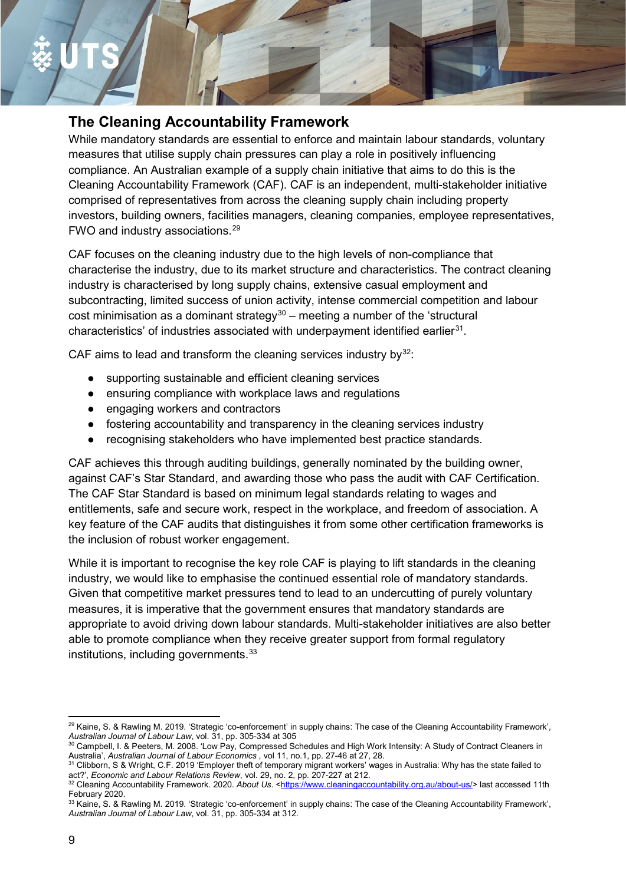### **The Cleaning Accountability Framework**

While mandatory standards are essential to enforce and maintain labour standards, voluntary measures that utilise supply chain pressures can play a role in positively influencing compliance. An Australian example of a supply chain initiative that aims to do this is the Cleaning Accountability Framework (CAF). CAF is an independent, multi-stakeholder initiative comprised of representatives from across the cleaning supply chain including property investors, building owners, facilities managers, cleaning companies, employee representatives, FWO and industry associations.[29](#page-7-0)

CAF focuses on the cleaning industry due to the high levels of non-compliance that characterise the industry, due to its market structure and characteristics. The contract cleaning industry is characterised by long supply chains, extensive casual employment and subcontracting, limited success of union activity, intense commercial competition and labour cost minimisation as a dominant strategy<sup>[30](#page-7-1)</sup> – meeting a number of the 'structural characteristics' of industries associated with underpayment identified earlier<sup>31</sup>.

CAF aims to lead and transform the cleaning services industry by $32$ :

- supporting sustainable and efficient cleaning services
- ensuring compliance with workplace laws and regulations
- engaging workers and contractors
- fostering accountability and transparency in the cleaning services industry
- recognising stakeholders who have implemented best practice standards.

CAF achieves this through auditing buildings, generally nominated by the building owner, against CAF's Star Standard, and awarding those who pass the audit with CAF Certification. The CAF Star Standard is based on minimum legal standards relating to wages and entitlements, safe and secure work, respect in the workplace, and freedom of association. A key feature of the CAF audits that distinguishes it from some other certification frameworks is the inclusion of robust worker engagement.

While it is important to recognise the key role CAF is playing to lift standards in the cleaning industry, we would like to emphasise the continued essential role of mandatory standards. Given that competitive market pressures tend to lead to an undercutting of purely voluntary measures, it is imperative that the government ensures that mandatory standards are appropriate to avoid driving down labour standards. Multi-stakeholder initiatives are also better able to promote compliance when they receive greater support from formal regulatory institutions, including governments.<sup>[33](#page-7-4)</sup>

<span id="page-7-0"></span><sup>&</sup>lt;sup>29</sup> Kaine, S. & Rawling M. 2019. 'Strategic 'co-enforcement' in supply chains: The case of the Cleaning Accountability Framework', *Australian Journal of Labour Law*, vol. 31, pp. 305-334 at 305

<span id="page-7-1"></span><sup>30</sup> Campbell, I. & Peeters, M. 2008. 'Low Pay, Compressed Schedules and High Work Intensity: A Study of Contract Cleaners in Australia', *Australian Journal of Labour Economics* , vol 11, no.1, pp. 27-46 at 27, 28.

<span id="page-7-2"></span><sup>31</sup> Clibborn, S & Wright, C.F. 2019 'Employer theft of temporary migrant workers' wages in Australia: Why has the state failed to act?', *Economic and Labour Relations Review*, vol. 29, no. 2, pp. 207-227 at 212.

<span id="page-7-3"></span><sup>32</sup> Cleaning Accountability Framework. 2020. About Us. [<https://www.cleaningaccountability.org.au/about-us/>](https://www.cleaningaccountability.org.au/about-us/) last accessed 11th February 2020.

<span id="page-7-4"></span> $\rm{^{33}}$  Kaine, S. & Rawling M. 2019. 'Strategic 'co-enforcement' in supply chains: The case of the Cleaning Accountability Framework', *Australian Journal of Labour Law*, vol. 31, pp. 305-334 at 312.